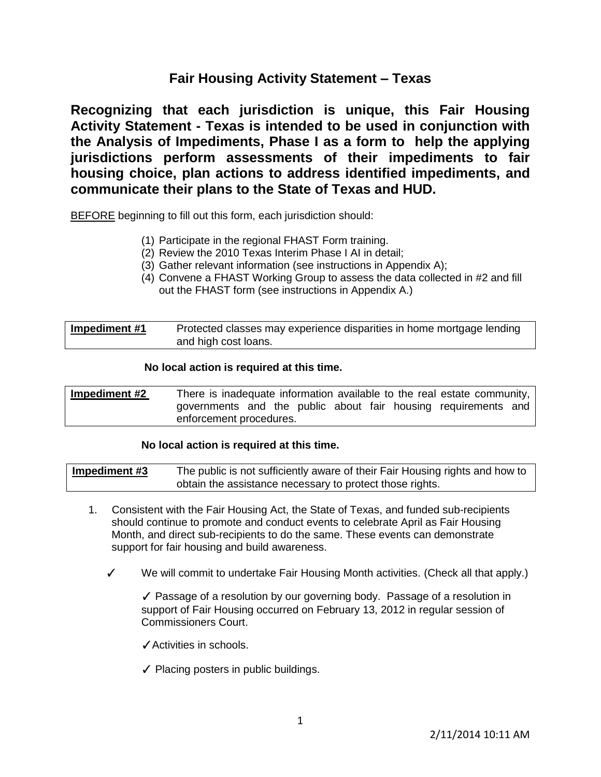# **Fair Housing Activity Statement – Texas**

**Recognizing that each jurisdiction is unique, this Fair Housing Activity Statement - Texas is intended to be used in conjunction with the Analysis of Impediments, Phase I as a form to help the applying jurisdictions perform assessments of their impediments to fair housing choice, plan actions to address identified impediments, and communicate their plans to the State of Texas and HUD.**

BEFORE beginning to fill out this form, each jurisdiction should:

- (1) Participate in the regional FHAST Form training.
- (2) Review the 2010 Texas Interim Phase I AI in detail;
- (3) Gather relevant information (see instructions in Appendix A);
- (4) Convene a FHAST Working Group to assess the data collected in #2 and fill out the FHAST form (see instructions in Appendix A.)

| Impediment #1 | Protected classes may experience disparities in home mortgage lending |
|---------------|-----------------------------------------------------------------------|
|               | and high cost loans.                                                  |

# **No local action is required at this time.**

| Impediment #2 |                         |  |  |  | There is inadequate information available to the real estate community, |  |
|---------------|-------------------------|--|--|--|-------------------------------------------------------------------------|--|
|               |                         |  |  |  | governments and the public about fair housing requirements and          |  |
|               | enforcement procedures. |  |  |  |                                                                         |  |

# **No local action is required at this time.**

| Impediment #3 | The public is not sufficiently aware of their Fair Housing rights and how to |
|---------------|------------------------------------------------------------------------------|
|               | obtain the assistance necessary to protect those rights.                     |

- 1. Consistent with the Fair Housing Act, the State of Texas, and funded sub-recipients should continue to promote and conduct events to celebrate April as Fair Housing Month, and direct sub-recipients to do the same. These events can demonstrate support for fair housing and build awareness.
	- We will commit to undertake Fair Housing Month activities. (Check all that apply.)

✓ Passage of a resolution by our governing body. Passage of a resolution in support of Fair Housing occurred on February 13, 2012 in regular session of Commissioners Court.

- ✓Activities in schools.
- ✓ Placing posters in public buildings.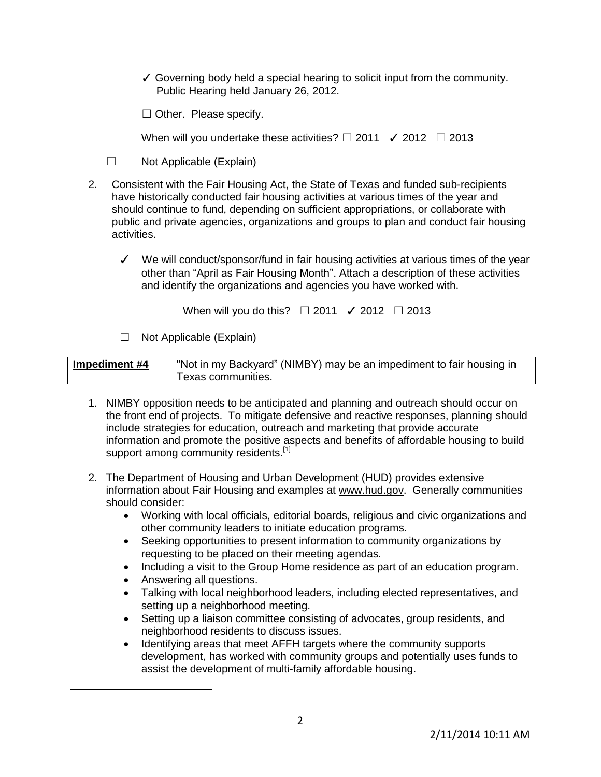✓ Governing body held a special hearing to solicit input from the community. Public Hearing held January 26, 2012.

□ Other. Please specify.

When will you undertake these activities?  $\Box$  2011  $\checkmark$  2012  $\Box$  2013

- ☐ Not Applicable (Explain)
- 2. Consistent with the Fair Housing Act, the State of Texas and funded sub-recipients have historically conducted fair housing activities at various times of the year and should continue to fund, depending on sufficient appropriations, or collaborate with public and private agencies, organizations and groups to plan and conduct fair housing activities.
	- ✓ We will conduct/sponsor/fund in fair housing activities at various times of the year other than "April as Fair Housing Month". Attach a description of these activities and identify the organizations and agencies you have worked with.

When will you do this?  $\Box$  2011  $\checkmark$  2012  $\Box$  2013

☐ Not Applicable (Explain)

| Impediment #4 | "Not in my Backyard" (NIMBY) may be an impediment to fair housing in |
|---------------|----------------------------------------------------------------------|
|               | Texas communities.                                                   |

- 1. NIMBY opposition needs to be anticipated and planning and outreach should occur on the front end of projects. To mitigate defensive and reactive responses, planning should include strategies for education, outreach and marketing that provide accurate information and promote the positive aspects and benefits of affordable housing to build support among community residents.<sup>[1]</sup>
- 2. The Department of Housing and Urban Development (HUD) provides extensive information about Fair Housing and examples at [www.hud.gov.](http://www.hud.gov/) Generally communities should consider:
	- Working with local officials, editorial boards, religious and civic organizations and other community leaders to initiate education programs.
	- Seeking opportunities to present information to community organizations by requesting to be placed on their meeting agendas.
	- Including a visit to the Group Home residence as part of an education program.
	- Answering all questions.

 $\overline{a}$ 

- Talking with local neighborhood leaders, including elected representatives, and setting up a neighborhood meeting.
- Setting up a liaison committee consisting of advocates, group residents, and neighborhood residents to discuss issues.
- Identifying areas that meet AFFH targets where the community supports development, has worked with community groups and potentially uses funds to assist the development of multi-family affordable housing.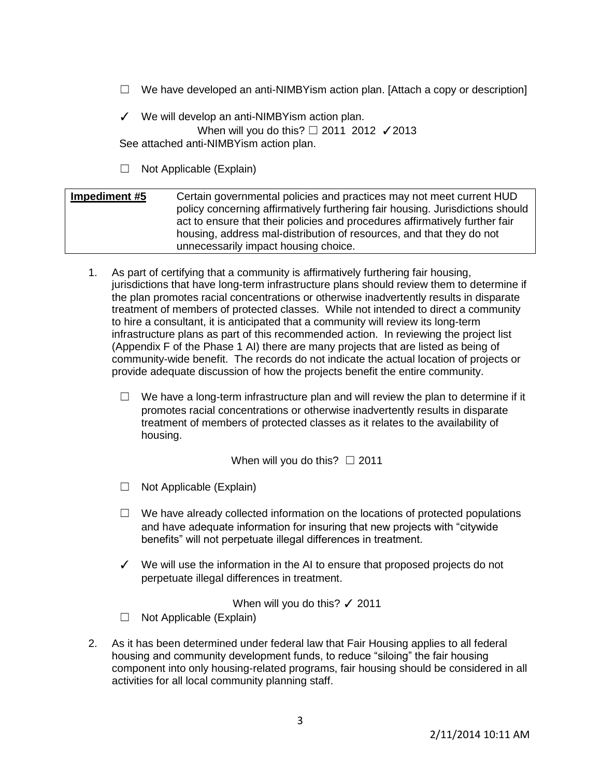$\Box$  We have developed an anti-NIMBYism action plan. [Attach a copy or description]

✓ We will develop an anti-NIMBYism action plan. When will you do this? □ 2011 2012 / 2013 See attached anti-NIMBYism action plan.

 $\Box$  Not Applicable (Explain)

| Impediment #5 | Certain governmental policies and practices may not meet current HUD          |
|---------------|-------------------------------------------------------------------------------|
|               | policy concerning affirmatively furthering fair housing. Jurisdictions should |
|               | act to ensure that their policies and procedures affirmatively further fair   |
|               | housing, address mal-distribution of resources, and that they do not          |
|               | unnecessarily impact housing choice.                                          |

- 1. As part of certifying that a community is affirmatively furthering fair housing, jurisdictions that have long-term infrastructure plans should review them to determine if the plan promotes racial concentrations or otherwise inadvertently results in disparate treatment of members of protected classes. While not intended to direct a community to hire a consultant, it is anticipated that a community will review its long-term infrastructure plans as part of this recommended action. In reviewing the project list (Appendix F of the Phase 1 AI) there are many projects that are listed as being of community-wide benefit. The records do not indicate the actual location of projects or provide adequate discussion of how the projects benefit the entire community.
	- $\Box$  We have a long-term infrastructure plan and will review the plan to determine if it promotes racial concentrations or otherwise inadvertently results in disparate treatment of members of protected classes as it relates to the availability of housing.

When will you do this?  $□ 2011$ 

☐ Not Applicable (Explain)

- $\Box$  We have already collected information on the locations of protected populations and have adequate information for insuring that new projects with "citywide benefits" will not perpetuate illegal differences in treatment.
- ✓ We will use the information in the AI to ensure that proposed projects do not perpetuate illegal differences in treatment.

When will you do this? √ 2011

- $\Box$  Not Applicable (Explain)
- 2. As it has been determined under federal law that Fair Housing applies to all federal housing and community development funds, to reduce "siloing" the fair housing component into only housing-related programs, fair housing should be considered in all activities for all local community planning staff.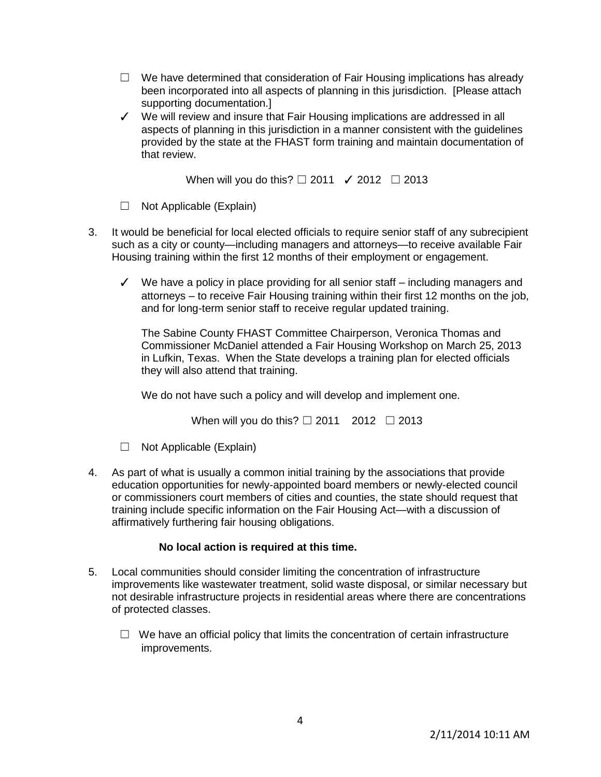- $\Box$  We have determined that consideration of Fair Housing implications has already been incorporated into all aspects of planning in this jurisdiction. [Please attach supporting documentation.]
- ✓ We will review and insure that Fair Housing implications are addressed in all aspects of planning in this jurisdiction in a manner consistent with the guidelines provided by the state at the FHAST form training and maintain documentation of that review.

When will you do this?  $\Box$  2011  $\checkmark$  2012  $\Box$  2013

- $\Box$  Not Applicable (Explain)
- 3. It would be beneficial for local elected officials to require senior staff of any subrecipient such as a city or county—including managers and attorneys—to receive available Fair Housing training within the first 12 months of their employment or engagement.
	- ✓ We have a policy in place providing for all senior staff including managers and attorneys – to receive Fair Housing training within their first 12 months on the job, and for long-term senior staff to receive regular updated training.

The Sabine County FHAST Committee Chairperson, Veronica Thomas and Commissioner McDaniel attended a Fair Housing Workshop on March 25, 2013 in Lufkin, Texas. When the State develops a training plan for elected officials they will also attend that training.

We do not have such a policy and will develop and implement one.

When will you do this?  $\Box$  2011 2012  $\Box$  2013

- ☐ Not Applicable (Explain)
- 4. As part of what is usually a common initial training by the associations that provide education opportunities for newly-appointed board members or newly-elected council or commissioners court members of cities and counties, the state should request that training include specific information on the Fair Housing Act—with a discussion of affirmatively furthering fair housing obligations.

- 5. Local communities should consider limiting the concentration of infrastructure improvements like wastewater treatment, solid waste disposal, or similar necessary but not desirable infrastructure projects in residential areas where there are concentrations of protected classes.
	- $\Box$  We have an official policy that limits the concentration of certain infrastructure improvements.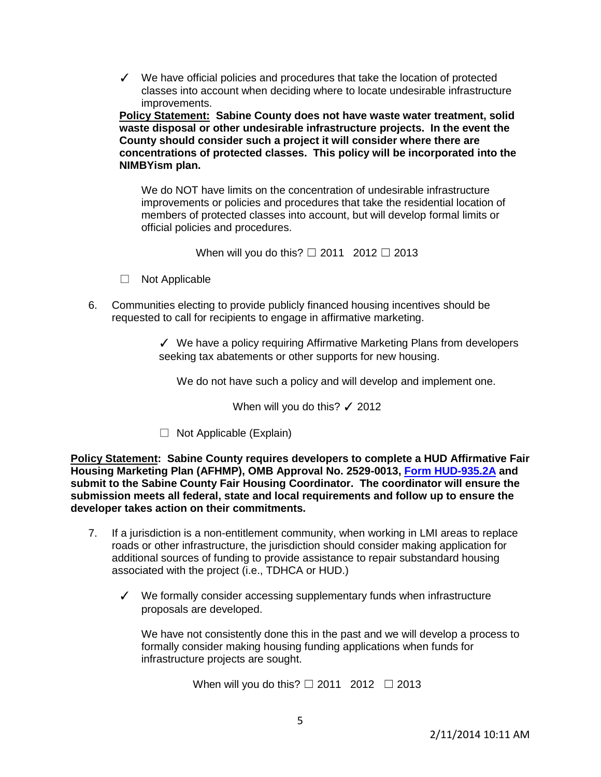✓ We have official policies and procedures that take the location of protected classes into account when deciding where to locate undesirable infrastructure improvements.

**Policy Statement: Sabine County does not have waste water treatment, solid waste disposal or other undesirable infrastructure projects. In the event the County should consider such a project it will consider where there are concentrations of protected classes. This policy will be incorporated into the NIMBYism plan.** 

 We do NOT have limits on the concentration of undesirable infrastructure improvements or policies and procedures that take the residential location of members of protected classes into account, but will develop formal limits or official policies and procedures.

When will you do this?  $□ 2011 2012 □ 2013$ 

- □ Not Applicable
- 6. Communities electing to provide publicly financed housing incentives should be requested to call for recipients to engage in affirmative marketing.

✓ We have a policy requiring Affirmative Marketing Plans from developers seeking tax abatements or other supports for new housing.

We do not have such a policy and will develop and implement one.

When will you do this?  $\checkmark$  2012

 $\Box$  Not Applicable (Explain)

**Policy Statement: Sabine County requires developers to complete a HUD Affirmative Fair Housing Marketing Plan (AFHMP), OMB Approval No. 2529-0013, [Form HUD-935.2A](http://www.rurdev.usda.gov/SupportDocuments/MO-AFHMP.pdf) and submit to the Sabine County Fair Housing Coordinator. The coordinator will ensure the submission meets all federal, state and local requirements and follow up to ensure the developer takes action on their commitments.** 

- 7. If a jurisdiction is a non-entitlement community, when working in LMI areas to replace roads or other infrastructure, the jurisdiction should consider making application for additional sources of funding to provide assistance to repair substandard housing associated with the project (i.e., TDHCA or HUD.)
	- ✓ We formally consider accessing supplementary funds when infrastructure proposals are developed.

 We have not consistently done this in the past and we will develop a process to formally consider making housing funding applications when funds for infrastructure projects are sought.

When will you do this?  $\Box$  2011 2012  $\Box$  2013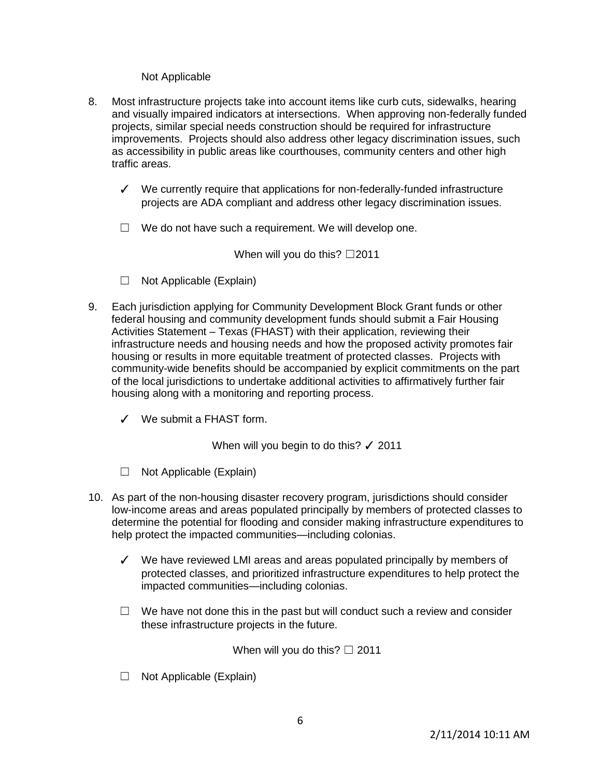## Not Applicable

- 8. Most infrastructure projects take into account items like curb cuts, sidewalks, hearing and visually impaired indicators at intersections. When approving non-federally funded projects, similar special needs construction should be required for infrastructure improvements. Projects should also address other legacy discrimination issues, such as accessibility in public areas like courthouses, community centers and other high traffic areas.
	- ✓ We currently require that applications for non-federally-funded infrastructure projects are ADA compliant and address other legacy discrimination issues.
	- $\Box$  We do not have such a requirement. We will develop one.

When will you do this?  $\Box$ 2011

- $\Box$  Not Applicable (Explain)
- 9. Each jurisdiction applying for Community Development Block Grant funds or other federal housing and community development funds should submit a Fair Housing Activities Statement – Texas (FHAST) with their application, reviewing their infrastructure needs and housing needs and how the proposed activity promotes fair housing or results in more equitable treatment of protected classes. Projects with community-wide benefits should be accompanied by explicit commitments on the part of the local jurisdictions to undertake additional activities to affirmatively further fair housing along with a monitoring and reporting process.
	- ✓ We submit a FHAST form.

When will you begin to do this? √ 2011

- ☐ Not Applicable (Explain)
- 10. As part of the non-housing disaster recovery program, jurisdictions should consider low-income areas and areas populated principally by members of protected classes to determine the potential for flooding and consider making infrastructure expenditures to help protect the impacted communities—including colonias.
	- ✓ We have reviewed LMI areas and areas populated principally by members of protected classes, and prioritized infrastructure expenditures to help protect the impacted communities—including colonias.
	- $\Box$  We have not done this in the past but will conduct such a review and consider these infrastructure projects in the future.

When will you do this?  $\Box$  2011

 $\Box$  Not Applicable (Explain)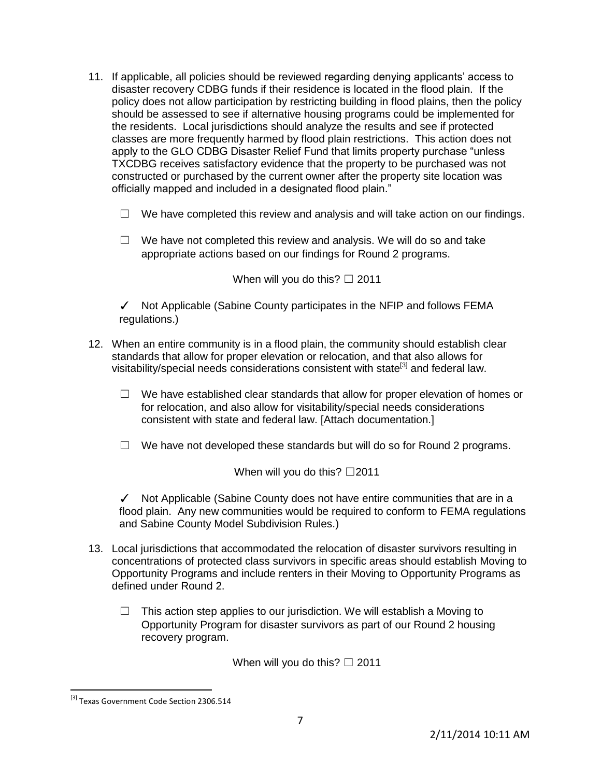- 11. If applicable, all policies should be reviewed regarding denying applicants' access to disaster recovery CDBG funds if their residence is located in the flood plain. If the policy does not allow participation by restricting building in flood plains, then the policy should be assessed to see if alternative housing programs could be implemented for the residents. Local jurisdictions should analyze the results and see if protected classes are more frequently harmed by flood plain restrictions. This action does not apply to the GLO CDBG Disaster Relief Fund that limits property purchase "unless TXCDBG receives satisfactory evidence that the property to be purchased was not constructed or purchased by the current owner after the property site location was officially mapped and included in a designated flood plain."
	- $\Box$  We have completed this review and analysis and will take action on our findings.
	- $\Box$  We have not completed this review and analysis. We will do so and take appropriate actions based on our findings for Round 2 programs.

When will you do this?  $\Box$  2011

✓ Not Applicable (Sabine County participates in the NFIP and follows FEMA regulations.)

- 12. When an entire community is in a flood plain, the community should establish clear standards that allow for proper elevation or relocation, and that also allows for visitability/special needs considerations consistent with state<sup>[3]</sup> and federal law.
	- $\Box$  We have established clear standards that allow for proper elevation of homes or for relocation, and also allow for visitability/special needs considerations consistent with state and federal law. [Attach documentation.]
	- $\Box$  We have not developed these standards but will do so for Round 2 programs.

When will you do this? □2011

✓ Not Applicable (Sabine County does not have entire communities that are in a flood plain. Any new communities would be required to conform to FEMA regulations and Sabine County Model Subdivision Rules.)

- 13. Local jurisdictions that accommodated the relocation of disaster survivors resulting in concentrations of protected class survivors in specific areas should establish Moving to Opportunity Programs and include renters in their Moving to Opportunity Programs as defined under Round 2.
	- $\Box$  This action step applies to our jurisdiction. We will establish a Moving to Opportunity Program for disaster survivors as part of our Round 2 housing recovery program.

When will you do this?  $\Box$  2011

 $\overline{a}$ 

<sup>&</sup>lt;sup>[3]</sup> Texas Government Code Section 2306.514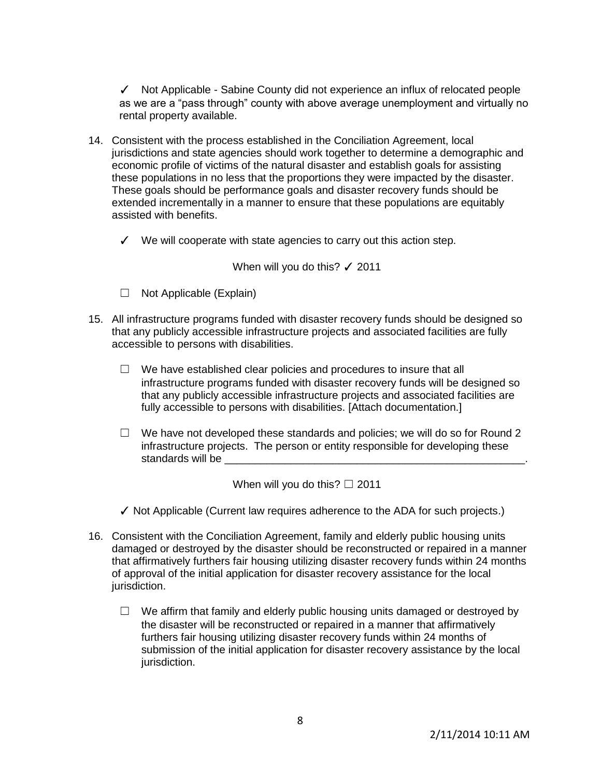✓ Not Applicable - Sabine County did not experience an influx of relocated people as we are a "pass through" county with above average unemployment and virtually no rental property available.

- 14. Consistent with the process established in the Conciliation Agreement, local jurisdictions and state agencies should work together to determine a demographic and economic profile of victims of the natural disaster and establish goals for assisting these populations in no less that the proportions they were impacted by the disaster. These goals should be performance goals and disaster recovery funds should be extended incrementally in a manner to ensure that these populations are equitably assisted with benefits.
	- $\checkmark$  We will cooperate with state agencies to carry out this action step.

When will you do this? √ 2011

- $\Box$  Not Applicable (Explain)
- 15. All infrastructure programs funded with disaster recovery funds should be designed so that any publicly accessible infrastructure projects and associated facilities are fully accessible to persons with disabilities.
	- $\Box$  We have established clear policies and procedures to insure that all infrastructure programs funded with disaster recovery funds will be designed so that any publicly accessible infrastructure projects and associated facilities are fully accessible to persons with disabilities. [Attach documentation.]
	- $\Box$  We have not developed these standards and policies; we will do so for Round 2 infrastructure projects. The person or entity responsible for developing these standards will be

When will you do this?  $\Box$  2011

- $\checkmark$  Not Applicable (Current law requires adherence to the ADA for such projects.)
- 16. Consistent with the Conciliation Agreement, family and elderly public housing units damaged or destroyed by the disaster should be reconstructed or repaired in a manner that affirmatively furthers fair housing utilizing disaster recovery funds within 24 months of approval of the initial application for disaster recovery assistance for the local jurisdiction.
	- $\Box$  We affirm that family and elderly public housing units damaged or destroyed by the disaster will be reconstructed or repaired in a manner that affirmatively furthers fair housing utilizing disaster recovery funds within 24 months of submission of the initial application for disaster recovery assistance by the local jurisdiction.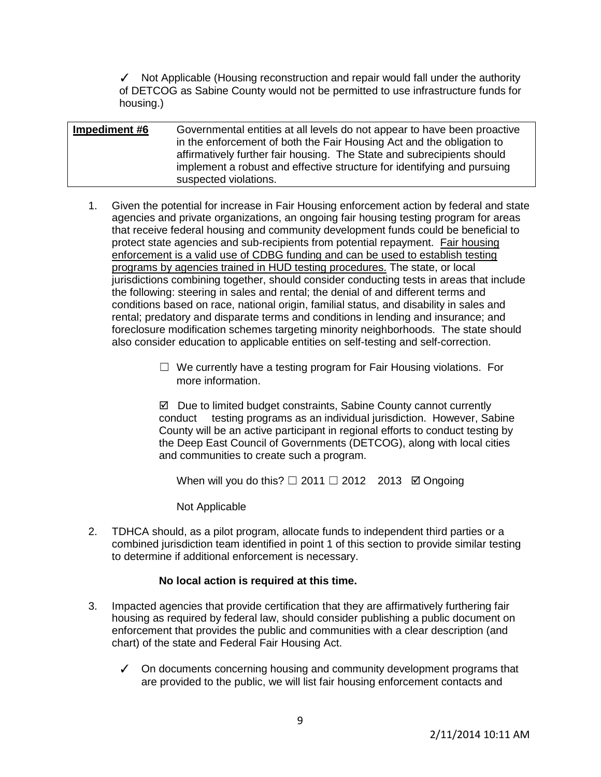✓ Not Applicable (Housing reconstruction and repair would fall under the authority of DETCOG as Sabine County would not be permitted to use infrastructure funds for housing.)

**Impediment #6** Governmental entities at all levels do not appear to have been proactive in the enforcement of both the Fair Housing Act and the obligation to affirmatively further fair housing. The State and subrecipients should implement a robust and effective structure for identifying and pursuing suspected violations.

- 1. Given the potential for increase in Fair Housing enforcement action by federal and state agencies and private organizations, an ongoing fair housing testing program for areas that receive federal housing and community development funds could be beneficial to protect state agencies and sub-recipients from potential repayment. Fair housing enforcement is a valid use of CDBG funding and can be used to establish testing programs by agencies trained in HUD testing procedures. The state, or local jurisdictions combining together, should consider conducting tests in areas that include the following: steering in sales and rental; the denial of and different terms and conditions based on race, national origin, familial status, and disability in sales and rental; predatory and disparate terms and conditions in lending and insurance; and foreclosure modification schemes targeting minority neighborhoods. The state should also consider education to applicable entities on self-testing and self-correction.
	- $\Box$  We currently have a testing program for Fair Housing violations. For more information.

 $\boxtimes$  Due to limited budget constraints, Sabine County cannot currently conduct testing programs as an individual jurisdiction. However, Sabine County will be an active participant in regional efforts to conduct testing by the Deep East Council of Governments (DETCOG), along with local cities and communities to create such a program.

When will you do this?  $\Box$  2011  $\Box$  2012 2013  $\boxtimes$  Ongoing

Not Applicable

2. TDHCA should, as a pilot program, allocate funds to independent third parties or a combined jurisdiction team identified in point 1 of this section to provide similar testing to determine if additional enforcement is necessary.

- 3. Impacted agencies that provide certification that they are affirmatively furthering fair housing as required by federal law, should consider publishing a public document on enforcement that provides the public and communities with a clear description (and chart) of the state and Federal Fair Housing Act.
	- ✓ On documents concerning housing and community development programs that are provided to the public, we will list fair housing enforcement contacts and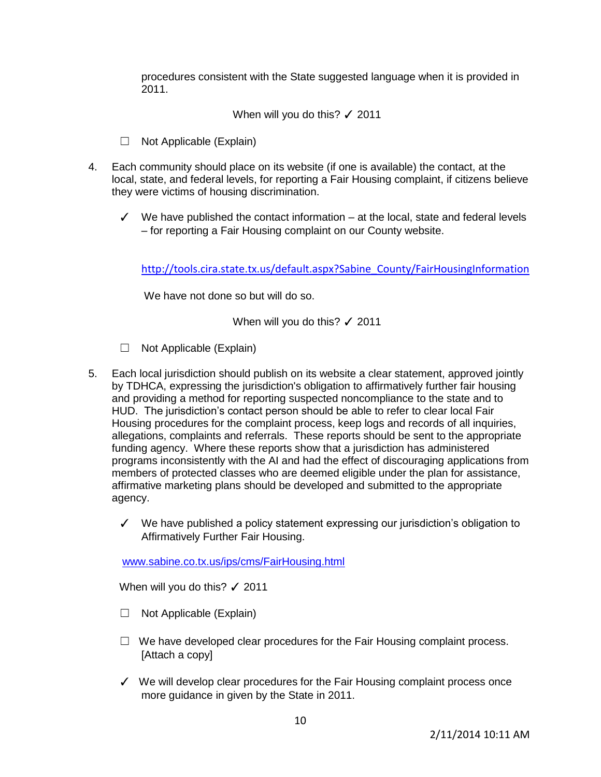procedures consistent with the State suggested language when it is provided in 2011.

When will you do this? √ 2011

- $\Box$  Not Applicable (Explain)
- 4. Each community should place on its website (if one is available) the contact, at the local, state, and federal levels, for reporting a Fair Housing complaint, if citizens believe they were victims of housing discrimination.
	- $\checkmark$  We have published the contact information at the local, state and federal levels – for reporting a Fair Housing complaint on our County website.

[http://tools.cira.state.tx.us/default.aspx?Sabine\\_County/FairHousingInformation](http://tools.cira.state.tx.us/default.aspx?Sabine_County/FairHousingInformation)

We have not done so but will do so.

When will you do this? √ 2011

- ☐ Not Applicable (Explain)
- 5. Each local jurisdiction should publish on its website a clear statement, approved jointly by TDHCA, expressing the jurisdiction's obligation to affirmatively further fair housing and providing a method for reporting suspected noncompliance to the state and to HUD. The jurisdiction's contact person should be able to refer to clear local Fair Housing procedures for the complaint process, keep logs and records of all inquiries, allegations, complaints and referrals. These reports should be sent to the appropriate funding agency. Where these reports show that a jurisdiction has administered programs inconsistently with the AI and had the effect of discouraging applications from members of protected classes who are deemed eligible under the plan for assistance, affirmative marketing plans should be developed and submitted to the appropriate agency.
	- ✓ We have published a policy statement expressing our jurisdiction's obligation to Affirmatively Further Fair Housing.

[www.sabine.co.tx.us/ips/cms/FairHousing.html](http://www.sabine.co.tx.us/ips/cms/FairHousing.html)

When will you do this? √ 2011

- $\Box$  Not Applicable (Explain)
- $\Box$  We have developed clear procedures for the Fair Housing complaint process. [Attach a copy]
- ✓ We will develop clear procedures for the Fair Housing complaint process once more guidance in given by the State in 2011.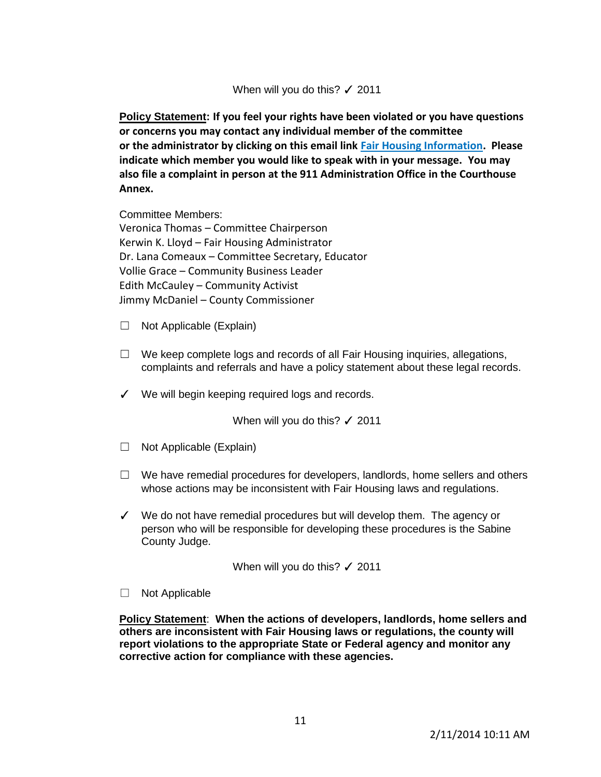## When will you do this? √ 2011

**Policy Statement: If you feel your rights have been violated or you have questions or concerns you may contact any individual member of the committee or the administrator by clicking on this email link [Fair Housing Information.](mailto:kerwin.lloyd@co.sabine.tx.us) Please indicate which member you would like to speak with in your message. You may also file a complaint in person at the 911 Administration Office in the Courthouse Annex.**

Committee Members:

Veronica Thomas – Committee Chairperson Kerwin K. Lloyd – Fair Housing Administrator Dr. Lana Comeaux – Committee Secretary, Educator Vollie Grace – Community Business Leader Edith McCauley – Community Activist Jimmy McDaniel – County Commissioner

- $\Box$  Not Applicable (Explain)
- $\Box$  We keep complete logs and records of all Fair Housing inquiries, allegations, complaints and referrals and have a policy statement about these legal records.
- ✓ We will begin keeping required logs and records.

When will you do this? √ 2011

- $\Box$  Not Applicable (Explain)
- $\Box$  We have remedial procedures for developers, landlords, home sellers and others whose actions may be inconsistent with Fair Housing laws and regulations.
- ✓ We do not have remedial procedures but will develop them. The agency or person who will be responsible for developing these procedures is the Sabine County Judge.

When will you do this? √ 2011

□ Not Applicable

**Policy Statement**: **When the actions of developers, landlords, home sellers and others are inconsistent with Fair Housing laws or regulations, the county will report violations to the appropriate State or Federal agency and monitor any corrective action for compliance with these agencies.**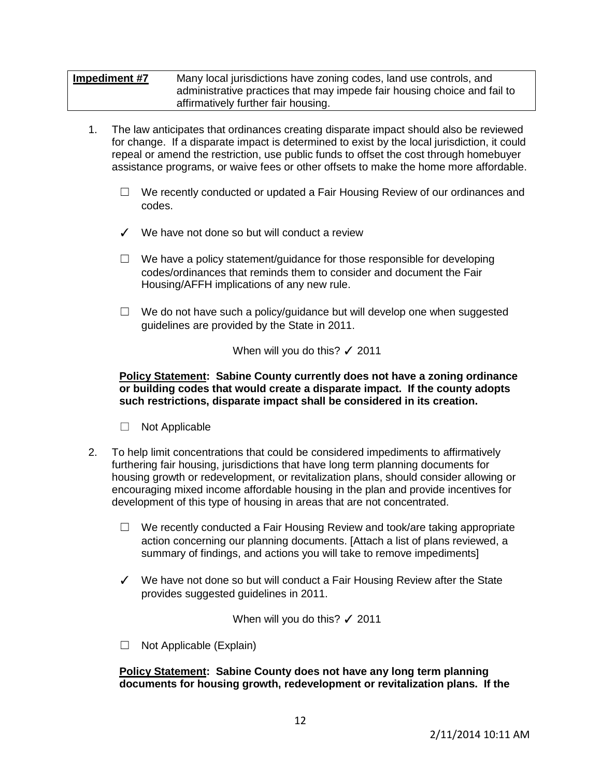# **Impediment #7** Many local jurisdictions have zoning codes, land use controls, and administrative practices that may impede fair housing choice and fail to affirmatively further fair housing.

- 1. The law anticipates that ordinances creating disparate impact should also be reviewed for change. If a disparate impact is determined to exist by the local jurisdiction, it could repeal or amend the restriction, use public funds to offset the cost through homebuyer assistance programs, or waive fees or other offsets to make the home more affordable.
	- $\Box$  We recently conducted or updated a Fair Housing Review of our ordinances and codes.
	- ✓ We have not done so but will conduct a review
	- $\Box$  We have a policy statement/guidance for those responsible for developing codes/ordinances that reminds them to consider and document the Fair Housing/AFFH implications of any new rule.
	- $\Box$  We do not have such a policy/guidance but will develop one when suggested guidelines are provided by the State in 2011.

When will you do this? √ 2011

#### **Policy Statement: Sabine County currently does not have a zoning ordinance or building codes that would create a disparate impact. If the county adopts such restrictions, disparate impact shall be considered in its creation.**

- □ Not Applicable
- 2. To help limit concentrations that could be considered impediments to affirmatively furthering fair housing, jurisdictions that have long term planning documents for housing growth or redevelopment, or revitalization plans, should consider allowing or encouraging mixed income affordable housing in the plan and provide incentives for development of this type of housing in areas that are not concentrated.
	- $\Box$  We recently conducted a Fair Housing Review and took/are taking appropriate action concerning our planning documents. [Attach a list of plans reviewed, a summary of findings, and actions you will take to remove impediments]
	- ✓ We have not done so but will conduct a Fair Housing Review after the State provides suggested guidelines in 2011.

When will you do this? √ 2011

 $\Box$  Not Applicable (Explain)

**Policy Statement: Sabine County does not have any long term planning documents for housing growth, redevelopment or revitalization plans. If the**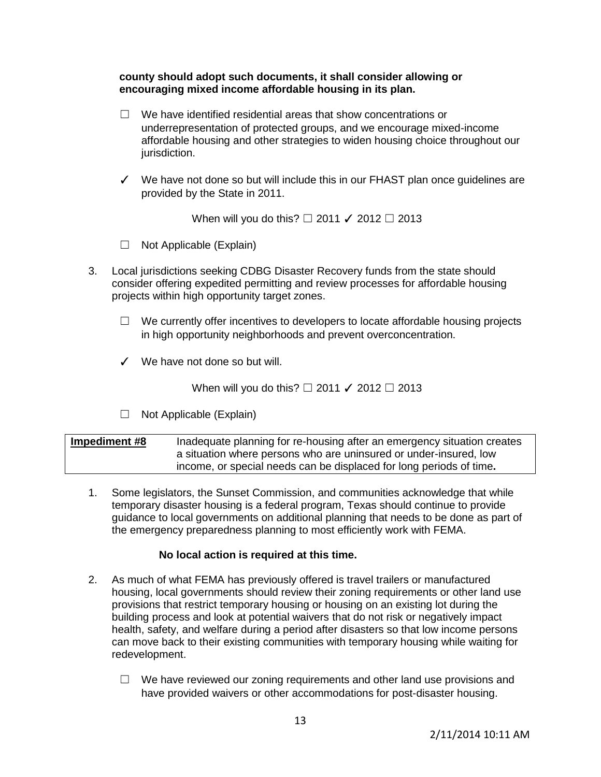## **county should adopt such documents, it shall consider allowing or encouraging mixed income affordable housing in its plan.**

- ☐ We have identified residential areas that show concentrations or underrepresentation of protected groups, and we encourage mixed-income affordable housing and other strategies to widen housing choice throughout our jurisdiction.
- ✓ We have not done so but will include this in our FHAST plan once guidelines are provided by the State in 2011.

When will you do this?  $\Box$  2011  $\checkmark$  2012  $\Box$  2013

- ☐ Not Applicable (Explain)
- 3. Local jurisdictions seeking CDBG Disaster Recovery funds from the state should consider offering expedited permitting and review processes for affordable housing projects within high opportunity target zones.
	- $\Box$  We currently offer incentives to developers to locate affordable housing projects in high opportunity neighborhoods and prevent overconcentration.
	- ✓ We have not done so but will.

When will you do this? □ 2011 **/** 2012 □ 2013

☐ Not Applicable (Explain)

**Impediment #8** Inadequate planning for re-housing after an emergency situation creates a situation where persons who are uninsured or under-insured, low income, or special needs can be displaced for long periods of time**.**

1. Some legislators, the Sunset Commission, and communities acknowledge that while temporary disaster housing is a federal program, Texas should continue to provide guidance to local governments on additional planning that needs to be done as part of the emergency preparedness planning to most efficiently work with FEMA.

- 2. As much of what FEMA has previously offered is travel trailers or manufactured housing, local governments should review their zoning requirements or other land use provisions that restrict temporary housing or housing on an existing lot during the building process and look at potential waivers that do not risk or negatively impact health, safety, and welfare during a period after disasters so that low income persons can move back to their existing communities with temporary housing while waiting for redevelopment.
	- ☐ We have reviewed our zoning requirements and other land use provisions and have provided waivers or other accommodations for post-disaster housing.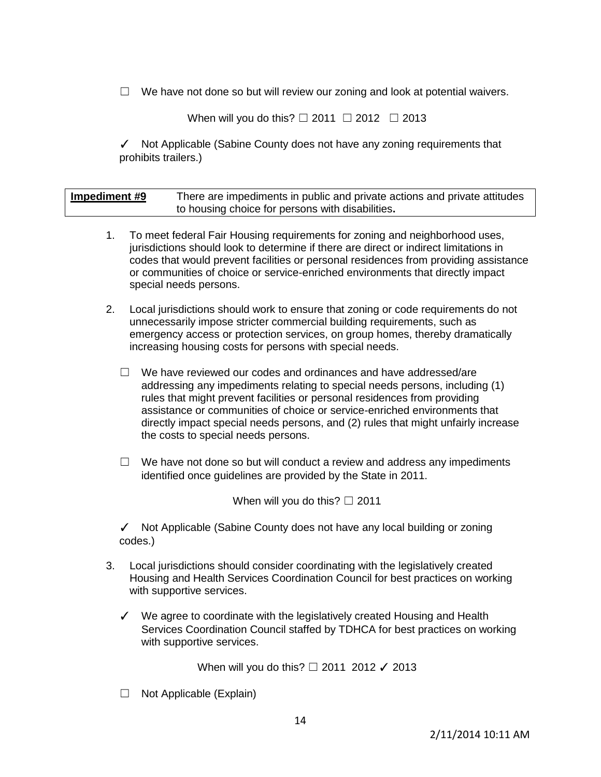$\Box$  We have not done so but will review our zoning and look at potential waivers.

When will you do this?  $\Box$  2011  $\Box$  2012  $\Box$  2013

✓ Not Applicable (Sabine County does not have any zoning requirements that prohibits trailers.)

| Impediment #9 | There are impediments in public and private actions and private attitudes |
|---------------|---------------------------------------------------------------------------|
|               | to housing choice for persons with disabilities.                          |

- 1. To meet federal Fair Housing requirements for zoning and neighborhood uses, jurisdictions should look to determine if there are direct or indirect limitations in codes that would prevent facilities or personal residences from providing assistance or communities of choice or service-enriched environments that directly impact special needs persons.
- 2. Local jurisdictions should work to ensure that zoning or code requirements do not unnecessarily impose stricter commercial building requirements, such as emergency access or protection services, on group homes, thereby dramatically increasing housing costs for persons with special needs.
	- ☐ We have reviewed our codes and ordinances and have addressed/are addressing any impediments relating to special needs persons, including (1) rules that might prevent facilities or personal residences from providing assistance or communities of choice or service-enriched environments that directly impact special needs persons, and (2) rules that might unfairly increase the costs to special needs persons.
	- $\Box$  We have not done so but will conduct a review and address any impediments identified once guidelines are provided by the State in 2011.

When will you do this?  $\Box$  2011

✓ Not Applicable (Sabine County does not have any local building or zoning codes.)

- 3. Local jurisdictions should consider coordinating with the legislatively created Housing and Health Services Coordination Council for best practices on working with supportive services.
	- ✓ We agree to coordinate with the legislatively created Housing and Health Services Coordination Council staffed by TDHCA for best practices on working with supportive services.

When will you do this? □ 2011 2012 √ 2013

☐ Not Applicable (Explain)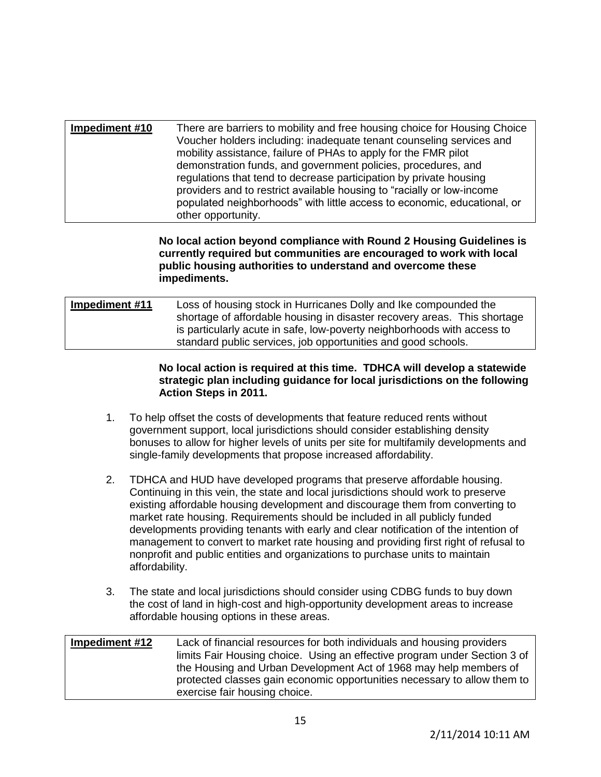| Impediment #10<br>There are barriers to mobility and free housing choice for Housing Choice<br>Voucher holders including: inadequate tenant counseling services and<br>mobility assistance, failure of PHAs to apply for the FMR pilot<br>demonstration funds, and government policies, procedures, and<br>regulations that tend to decrease participation by private housing<br>providers and to restrict available housing to "racially or low-income"<br>populated neighborhoods" with little access to economic, educational, or<br>other opportunity. |  |
|------------------------------------------------------------------------------------------------------------------------------------------------------------------------------------------------------------------------------------------------------------------------------------------------------------------------------------------------------------------------------------------------------------------------------------------------------------------------------------------------------------------------------------------------------------|--|
|------------------------------------------------------------------------------------------------------------------------------------------------------------------------------------------------------------------------------------------------------------------------------------------------------------------------------------------------------------------------------------------------------------------------------------------------------------------------------------------------------------------------------------------------------------|--|

## **No local action beyond compliance with Round 2 Housing Guidelines is currently required but communities are encouraged to work with local public housing authorities to understand and overcome these impediments.**

**Impediment #11** Loss of housing stock in Hurricanes Dolly and Ike compounded the shortage of affordable housing in disaster recovery areas. This shortage is particularly acute in safe, low-poverty neighborhoods with access to standard public services, job opportunities and good schools.

## **No local action is required at this time. TDHCA will develop a statewide strategic plan including guidance for local jurisdictions on the following Action Steps in 2011.**

- 1. To help offset the costs of developments that feature reduced rents without government support, local jurisdictions should consider establishing density bonuses to allow for higher levels of units per site for multifamily developments and single-family developments that propose increased affordability.
- 2. TDHCA and HUD have developed programs that preserve affordable housing. Continuing in this vein, the state and local jurisdictions should work to preserve existing affordable housing development and discourage them from converting to market rate housing. Requirements should be included in all publicly funded developments providing tenants with early and clear notification of the intention of management to convert to market rate housing and providing first right of refusal to nonprofit and public entities and organizations to purchase units to maintain affordability.
- 3. The state and local jurisdictions should consider using CDBG funds to buy down the cost of land in high-cost and high-opportunity development areas to increase affordable housing options in these areas.

| Impediment #12 | Lack of financial resources for both individuals and housing providers    |
|----------------|---------------------------------------------------------------------------|
|                | limits Fair Housing choice. Using an effective program under Section 3 of |
|                | the Housing and Urban Development Act of 1968 may help members of         |
|                | protected classes gain economic opportunities necessary to allow them to  |
|                | exercise fair housing choice.                                             |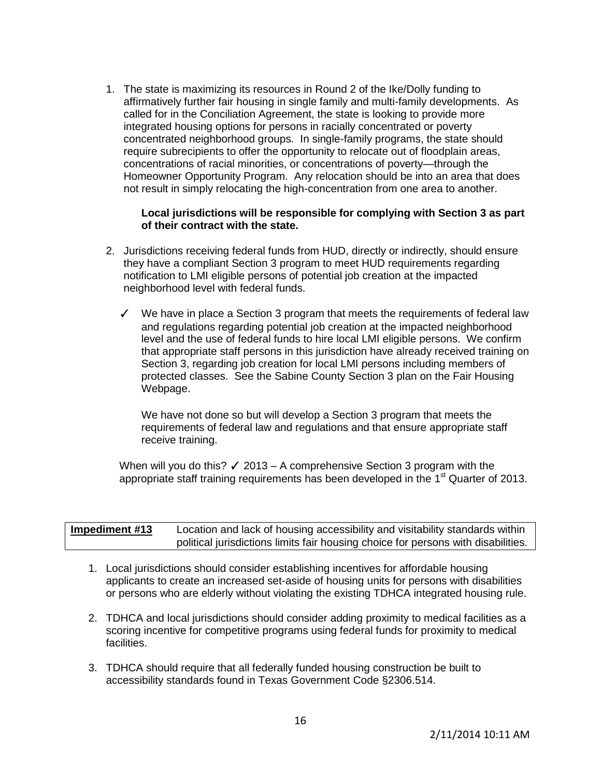1. The state is maximizing its resources in Round 2 of the Ike/Dolly funding to affirmatively further fair housing in single family and multi-family developments. As called for in the Conciliation Agreement, the state is looking to provide more integrated housing options for persons in racially concentrated or poverty concentrated neighborhood groups. In single-family programs, the state should require subrecipients to offer the opportunity to relocate out of floodplain areas, concentrations of racial minorities, or concentrations of poverty—through the Homeowner Opportunity Program. Any relocation should be into an area that does not result in simply relocating the high-concentration from one area to another.

## **Local jurisdictions will be responsible for complying with Section 3 as part of their contract with the state.**

- 2. Jurisdictions receiving federal funds from HUD, directly or indirectly, should ensure they have a compliant Section 3 program to meet HUD requirements regarding notification to LMI eligible persons of potential job creation at the impacted neighborhood level with federal funds.
	- ✓ We have in place a Section 3 program that meets the requirements of federal law and regulations regarding potential job creation at the impacted neighborhood level and the use of federal funds to hire local LMI eligible persons. We confirm that appropriate staff persons in this jurisdiction have already received training on Section 3, regarding job creation for local LMI persons including members of protected classes. See the Sabine County Section 3 plan on the Fair Housing Webpage.

 We have not done so but will develop a Section 3 program that meets the requirements of federal law and regulations and that ensure appropriate staff receive training.

When will you do this?  $\checkmark$  2013 – A comprehensive Section 3 program with the appropriate staff training requirements has been developed in the  $1<sup>st</sup>$  Quarter of 2013.

| Impediment #13 | Location and lack of housing accessibility and visitability standards within      |
|----------------|-----------------------------------------------------------------------------------|
|                | political jurisdictions limits fair housing choice for persons with disabilities. |

- 1. Local jurisdictions should consider establishing incentives for affordable housing applicants to create an increased set-aside of housing units for persons with disabilities or persons who are elderly without violating the existing TDHCA integrated housing rule.
- 2. TDHCA and local jurisdictions should consider adding proximity to medical facilities as a scoring incentive for competitive programs using federal funds for proximity to medical facilities.
- 3. TDHCA should require that all federally funded housing construction be built to accessibility standards found in Texas Government Code §2306.514.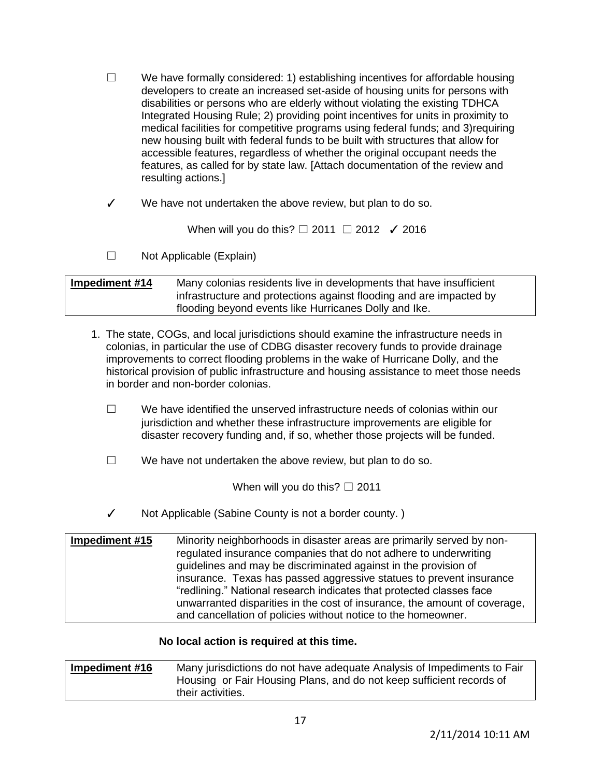$\Box$  We have formally considered: 1) establishing incentives for affordable housing developers to create an increased set-aside of housing units for persons with disabilities or persons who are elderly without violating the existing TDHCA Integrated Housing Rule; 2) providing point incentives for units in proximity to medical facilities for competitive programs using federal funds; and 3)requiring new housing built with federal funds to be built with structures that allow for accessible features, regardless of whether the original occupant needs the features, as called for by state law. [Attach documentation of the review and resulting actions.]

✓ We have not undertaken the above review, but plan to do so.

When will you do this?  $\Box$  2011  $\Box$  2012  $\checkmark$  2016

☐ Not Applicable (Explain)

| Impediment #14 | Many colonias residents live in developments that have insufficient |
|----------------|---------------------------------------------------------------------|
|                | infrastructure and protections against flooding and are impacted by |
|                | flooding beyond events like Hurricanes Dolly and Ike.               |

- 1. The state, COGs, and local jurisdictions should examine the infrastructure needs in colonias, in particular the use of CDBG disaster recovery funds to provide drainage improvements to correct flooding problems in the wake of Hurricane Dolly, and the historical provision of public infrastructure and housing assistance to meet those needs in border and non-border colonias.
	- $\Box$  We have identified the unserved infrastructure needs of colonias within our jurisdiction and whether these infrastructure improvements are eligible for disaster recovery funding and, if so, whether those projects will be funded.
	- ☐ We have not undertaken the above review, but plan to do so.

When will you do this?  $\Box$  2011

✓ Not Applicable (Sabine County is not a border county. )

| Impediment #15 | Minority neighborhoods in disaster areas are primarily served by non-     |
|----------------|---------------------------------------------------------------------------|
|                | regulated insurance companies that do not adhere to underwriting          |
|                | guidelines and may be discriminated against in the provision of           |
|                | insurance. Texas has passed aggressive statues to prevent insurance       |
|                | "redlining." National research indicates that protected classes face      |
|                | unwarranted disparities in the cost of insurance, the amount of coverage, |
|                | and cancellation of policies without notice to the homeowner.             |

| Impediment #16 | Many jurisdictions do not have adequate Analysis of Impediments to Fair |
|----------------|-------------------------------------------------------------------------|
|                | Housing or Fair Housing Plans, and do not keep sufficient records of    |
|                | their activities.                                                       |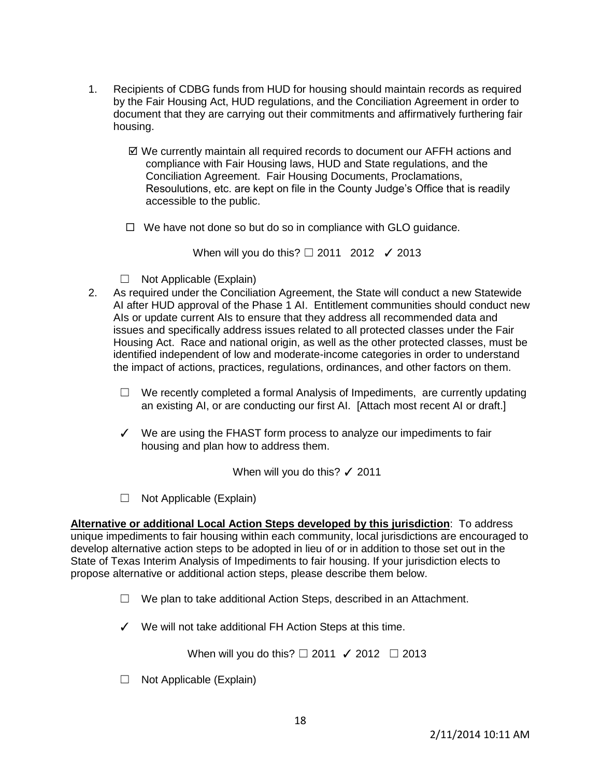- 1. Recipients of CDBG funds from HUD for housing should maintain records as required by the Fair Housing Act, HUD regulations, and the Conciliation Agreement in order to document that they are carrying out their commitments and affirmatively furthering fair housing.
	- We currently maintain all required records to document our AFFH actions and compliance with Fair Housing laws, HUD and State regulations, and the Conciliation Agreement. Fair Housing Documents, Proclamations, Resoulutions, etc. are kept on file in the County Judge's Office that is readily accessible to the public.
	- $\Box$  We have not done so but do so in compliance with GLO guidance.

When will you do this? □ 2011 2012 / 2013

- $\Box$  Not Applicable (Explain)
- 2. As required under the Conciliation Agreement, the State will conduct a new Statewide AI after HUD approval of the Phase 1 AI. Entitlement communities should conduct new AIs or update current AIs to ensure that they address all recommended data and issues and specifically address issues related to all protected classes under the Fair Housing Act. Race and national origin, as well as the other protected classes, must be identified independent of low and moderate-income categories in order to understand the impact of actions, practices, regulations, ordinances, and other factors on them.
	- $\Box$  We recently completed a formal Analysis of Impediments, are currently updating an existing AI, or are conducting our first AI. [Attach most recent AI or draft.]
	- ✓ We are using the FHAST form process to analyze our impediments to fair housing and plan how to address them.

When will you do this? √ 2011

☐ Not Applicable (Explain)

**Alternative or additional Local Action Steps developed by this jurisdiction**: To address unique impediments to fair housing within each community, local jurisdictions are encouraged to develop alternative action steps to be adopted in lieu of or in addition to those set out in the State of Texas Interim Analysis of Impediments to fair housing. If your jurisdiction elects to propose alternative or additional action steps, please describe them below.

- ☐ We plan to take additional Action Steps, described in an Attachment.
- ✓ We will not take additional FH Action Steps at this time.

When will you do this?  $\Box$  2011  $\checkmark$  2012  $\Box$  2013

☐ Not Applicable (Explain)